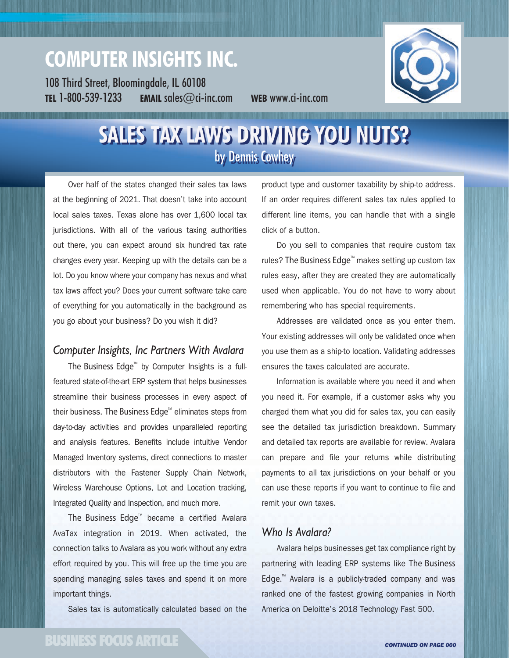# **COMPUTER INSIGHTS INC.**

108 Third Street, Bloomingdale, IL 60108 **TEL** 1-800-539-1233 **EMAIL** sales@ci-inc.com **WEB** www.ci-inc.com



## **SALES TAX LAWS DRIVING YOU NUTS?** by Dennis Cowhey

Over half of the states changed their sales tax laws at the beginning of 2021. That doesn't take into account local sales taxes. Texas alone has over 1,600 local tax jurisdictions. With all of the various taxing authorities out there, you can expect around six hundred tax rate changes every year. Keeping up with the details can be a lot. Do you know where your company has nexus and what tax laws affect you? Does your current software take care of everything for you automatically in the background as you go about your business? Do you wish it did?

### *Computer Insights, Inc Partners With Avalara*

The Business Edge<sup> $M$ </sup> by Computer Insights is a fullfeatured state-of-the-art ERP system that helps businesses streamline their business processes in every aspect of their business. The Business Edge<sup>™</sup> eliminates steps from day-to-day activities and provides unparalleled reporting and analysis features. Benefits include intuitive Vendor Managed Inventory systems, direct connections to master distributors with the Fastener Supply Chain Network, Wireless Warehouse Options, Lot and Location tracking, Integrated Quality and Inspection, and much more.

The Business Edge<sup> $M$ </sup> became a certified Avalara AvaTax integration in 2019. When activated, the connection talks to Avalara as you work without any extra effort required by you. This will free up the time you are spending managing sales taxes and spend it on more important things.

Sales tax is automatically calculated based on the

product type and customer taxability by ship-to address. If an order requires different sales tax rules applied to different line items, you can handle that with a single click of a button.

Do you sell to companies that require custom tax rules? The Business Edge<sup>™</sup> makes setting up custom tax rules easy, after they are created they are automatically used when applicable. You do not have to worry about remembering who has special requirements.

Addresses are validated once as you enter them. Your existing addresses will only be validated once when you use them as a ship-to location. Validating addresses ensures the taxes calculated are accurate.

Information is available where you need it and when you need it. For example, if a customer asks why you charged them what you did for sales tax, you can easily see the detailed tax jurisdiction breakdown. Summary and detailed tax reports are available for review. Avalara can prepare and file your returns while distributing payments to all tax jurisdictions on your behalf or you can use these reports if you want to continue to file and remit your own taxes.

#### *Who Is Avalara?*

Avalara helps businesses get tax compliance right by partnering with leading ERP systems like The Business Edge.<sup>M</sup> Avalara is a publicly-traded company and was ranked one of the fastest growing companies in North America on Deloitte's 2018 Technology Fast 500.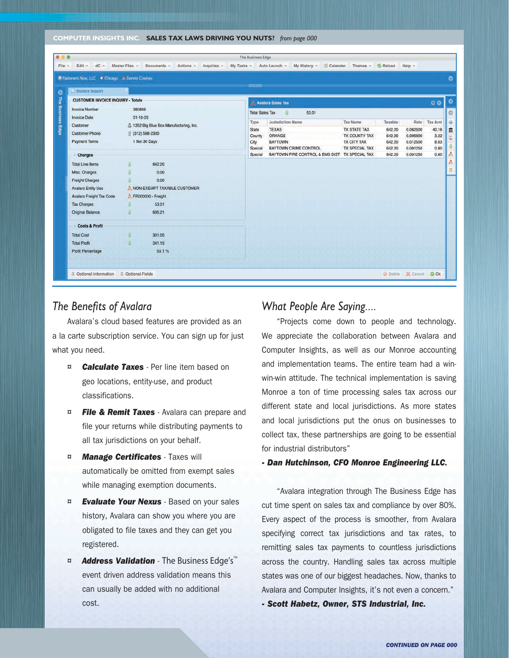**COMPUTER INSIGHTS INC. SALES TAX LAWS DRIVING YOU NUTS?** *from page 000*

| ■ Fasteners Now, LLC ★ Chicago A Dennis Cowhey |                             |                                         | <b>BELLEVILLE</b>      |                                                |                                     |                  |                      |              |
|------------------------------------------------|-----------------------------|-----------------------------------------|------------------------|------------------------------------------------|-------------------------------------|------------------|----------------------|--------------|
| Invoice Inquiry                                |                             |                                         |                        |                                                |                                     |                  |                      |              |
| <b>CUSTOMER INVOICE INQUIRY - Totals</b>       |                             |                                         |                        | <b>Avalara Sales Tax</b><br>э                  |                                     |                  |                      | $\circ$      |
| <b>Invoice Number</b>                          | 380846<br>$01 - 10 - 20$    |                                         | <b>Total Sales Tax</b> |                                                |                                     |                  |                      |              |
| <b>Invoice Date</b>                            |                             |                                         | 53.01                  |                                                |                                     |                  |                      |              |
| Customer                                       |                             | 3 1352 Big Blue Box Manufacturing, Inc. | Type                   | Jurisdiction Name                              | <b>Tax Name</b>                     | Taxable          | Rate                 | Tax Amt      |
| <b>Customer Phone</b>                          | (312) 588-2300              |                                         | <b>State</b>           | <b>TEXAS</b>                                   | <b>TX STATE TAX</b>                 | 642.20           | 0.062500             | 40.16        |
| <b>Payment Terms</b>                           |                             | 1 Net 30 Days                           | County<br>City         | ORANGE<br><b>BAYTOWN</b>                       | TX COUNTY TAX<br><b>TX CITY TAX</b> | 642.20<br>642.20 | 0.005000<br>0.012500 | 3.22<br>8.03 |
|                                                |                             |                                         | Special                | <b>BAYTOWN CRIME CONTROL</b>                   | <b>TX SPECIAL TAX</b>               | 642.20           | 0.001250             | 0.80         |
| <b>Charges</b>                                 |                             |                                         | Special                | BAYTOWN FIRE CONTROL & EMS DIST TX SPECIAL TAX |                                     | 642.20           | 0.001250             | 0.80         |
| <b>Total Line Items</b>                        |                             | 642.20                                  |                        |                                                |                                     |                  |                      |              |
| Misc. Charges                                  |                             | 0.00                                    |                        |                                                |                                     |                  |                      |              |
| <b>Freight Charges</b>                         |                             | 0.00                                    |                        |                                                |                                     |                  |                      |              |
|                                                | NON-EXEMPT TAXABLE CUSTOMER |                                         |                        |                                                |                                     |                  |                      |              |
| Avalara Entity Use                             |                             |                                         |                        |                                                |                                     |                  |                      |              |
| Avalara Freight Tax Code                       | FR000000 - Freight          |                                         |                        |                                                |                                     |                  |                      |              |
| <b>Tax Charges</b>                             |                             | 53.01                                   |                        |                                                |                                     |                  |                      |              |
| Original Balance                               |                             | 695.21                                  |                        |                                                |                                     |                  |                      |              |
| <b>Costs &amp; Profit</b>                      |                             |                                         |                        |                                                |                                     |                  |                      |              |
| <b>Total Cost</b>                              |                             | 301.05                                  |                        |                                                |                                     |                  |                      |              |
| <b>Total Profit</b>                            |                             | 341.15                                  |                        |                                                |                                     |                  |                      |              |
| <b>Profit Percentage</b>                       |                             | 53.1%                                   |                        |                                                |                                     |                  |                      |              |
|                                                |                             |                                         |                        |                                                |                                     |                  |                      |              |

#### *The Benefits of Avalara*

Avalara's cloud based features are provided as an a la carte subscription service. You can sign up for just what you need.

- ¤ *Calculate Taxes* Per line item based on geo locations, entity-use, and product classifications.
- ¤ *File & Remit Taxes* Avalara can prepare and file your returns while distributing payments to all tax jurisdictions on your behalf.
- ¤ *Manage Certificates* Taxes will automatically be omitted from exempt sales while managing exemption documents.
- ¤ *Evaluate Your Nexus* Based on your sales history, Avalara can show you where you are obligated to file taxes and they can get you registered.
- **¤** *Address Validation* The Business Edge's<sup>™</sup> event driven address validation means this can usually be added with no additional cost.

#### *What People Are Saying....*

"Projects come down to people and technology. We appreciate the collaboration between Avalara and Computer Insights, as well as our Monroe accounting and implementation teams. The entire team had a winwin-win attitude. The technical implementation is saving Monroe a ton of time processing sales tax across our different state and local jurisdictions. As more states and local jurisdictions put the onus on businesses to collect tax, these partnerships are going to be essential for industrial distributors"

#### *- Dan Hutchinson, CFO Monroe Engineering LLC.*

"Avalara integration through The Business Edge has cut time spent on sales tax and compliance by over 80%. Every aspect of the process is smoother, from Avalara specifying correct tax jurisdictions and tax rates, to remitting sales tax payments to countless jurisdictions across the country. Handling sales tax across multiple states was one of our biggest headaches. Now, thanks to Avalara and Computer Insights, it's not even a concern."

*- Scott Habetz, Owner, STS Industrial, Inc.*